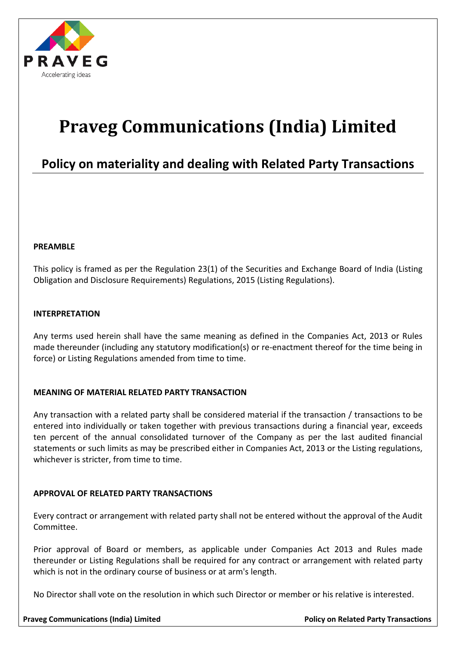

# **Praveg Communications (India) Limited**

## **Policy on materiality and dealing with Related Party Transactions**

### **PREAMBLE**

This policy is framed as per the Regulation 23(1) of the Securities and Exchange Board of India (Listing Obligation and Disclosure Requirements) Regulations, 2015 (Listing Regulations).

### **INTERPRETATION**

Any terms used herein shall have the same meaning as defined in the Companies Act, 2013 or Rules made thereunder (including any statutory modification(s) or re-enactment thereof for the time being in force) or Listing Regulations amended from time to time.

### **MEANING OF MATERIAL RELATED PARTY TRANSACTION**

Any transaction with a related party shall be considered material if the transaction / transactions to be entered into individually or taken together with previous transactions during a financial year, exceeds ten percent of the annual consolidated turnover of the Company as per the last audited financial statements or such limits as may be prescribed either in Companies Act, 2013 or the Listing regulations, whichever is stricter, from time to time.

### **APPROVAL OF RELATED PARTY TRANSACTIONS**

Every contract or arrangement with related party shall not be entered without the approval of the Audit Committee.

Prior approval of Board or members, as applicable under Companies Act 2013 and Rules made thereunder or Listing Regulations shall be required for any contract or arrangement with related party which is not in the ordinary course of business or at arm's length.

No Director shall vote on the resolution in which such Director or member or his relative is interested.